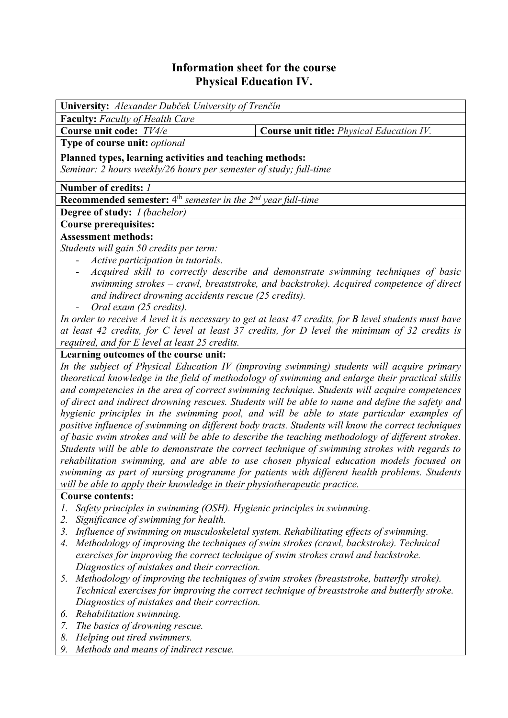# **Information sheet for the course Physical Education IV.**

| University: Alexander Dubček University of Trenčín                                                                                                                                                                    |                                                                                                                                                                             |  |  |  |  |  |
|-----------------------------------------------------------------------------------------------------------------------------------------------------------------------------------------------------------------------|-----------------------------------------------------------------------------------------------------------------------------------------------------------------------------|--|--|--|--|--|
| <b>Faculty:</b> Faculty of Health Care                                                                                                                                                                                |                                                                                                                                                                             |  |  |  |  |  |
| Course unit code: TV4/e                                                                                                                                                                                               | <b>Course unit title:</b> <i>Physical Education IV</i> .                                                                                                                    |  |  |  |  |  |
| Type of course unit: optional                                                                                                                                                                                         |                                                                                                                                                                             |  |  |  |  |  |
| Planned types, learning activities and teaching methods:                                                                                                                                                              |                                                                                                                                                                             |  |  |  |  |  |
| Seminar: 2 hours weekly/26 hours per semester of study; full-time                                                                                                                                                     |                                                                                                                                                                             |  |  |  |  |  |
| Number of credits: 1                                                                                                                                                                                                  |                                                                                                                                                                             |  |  |  |  |  |
| <b>Recommended semester:</b> $4^{\text{th}}$ <i>semester in the <math>2^{\text{nd}}</math> year full-time</i>                                                                                                         |                                                                                                                                                                             |  |  |  |  |  |
| <b>Degree of study:</b> <i>I (bachelor)</i>                                                                                                                                                                           |                                                                                                                                                                             |  |  |  |  |  |
| <b>Course prerequisites:</b>                                                                                                                                                                                          |                                                                                                                                                                             |  |  |  |  |  |
| <b>Assessment methods:</b>                                                                                                                                                                                            |                                                                                                                                                                             |  |  |  |  |  |
| Students will gain 50 credits per term:                                                                                                                                                                               |                                                                                                                                                                             |  |  |  |  |  |
| Active participation in tutorials.                                                                                                                                                                                    |                                                                                                                                                                             |  |  |  |  |  |
| Ξ.                                                                                                                                                                                                                    | Acquired skill to correctly describe and demonstrate swimming techniques of basic<br>swimming strokes - crawl, breaststroke, and backstroke). Acquired competence of direct |  |  |  |  |  |
| and indirect drowning accidents rescue (25 credits).                                                                                                                                                                  |                                                                                                                                                                             |  |  |  |  |  |
| Oral exam (25 credits).<br>$\sim$                                                                                                                                                                                     |                                                                                                                                                                             |  |  |  |  |  |
| In order to receive A level it is necessary to get at least 47 credits, for B level students must have<br>of Level 19, and the four functions $1$ and $27$ and the four D Level decomposition of 29, and the function |                                                                                                                                                                             |  |  |  |  |  |

*at least 42 credits, for C level at least 37 credits, for D level the minimum of 32 credits is required, and for E level at least 25 credits.*

## **Learning outcomes of the course unit:**

*In the subject of Physical Education IV (improving swimming) students will acquire primary theoretical knowledge in the field of methodology of swimming and enlarge their practical skills and competencies in the area of correct swimming technique. Students will acquire competences of direct and indirect drowning rescues. Students will be able to name and define the safety and hygienic principles in the swimming pool, and will be able to state particular examples of positive influence of swimming on different body tracts. Students will know the correct techniques of basic swim strokes and will be able to describe the teaching methodology of different strokes. Students will be able to demonstrate the correct technique of swimming strokes with regards to rehabilitation swimming, and are able to use chosen physical education models focused on swimming as part of nursing programme for patients with different health problems. Students will be able to apply their knowledge in their physiotherapeutic practice.* 

### **Course contents:**

- *1. Safety principles in swimming (OSH). Hygienic principles in swimming.*
- *2. Significance of swimming for health.*
- *3. Influence of swimming on musculoskeletal system. Rehabilitating effects of swimming.*
- *4. Methodology of improving the techniques of swim strokes (crawl, backstroke). Technical exercises for improving the correct technique of swim strokes crawl and backstroke. Diagnostics of mistakes and their correction.*
- *5. Methodology of improving the techniques of swim strokes (breaststroke, butterfly stroke). Technical exercises for improving the correct technique of breaststroke and butterfly stroke. Diagnostics of mistakes and their correction.*
- *6. Rehabilitation swimming.*
- *7. The basics of drowning rescue.*
- *8. Helping out tired swimmers.*
- *9. Methods and means of indirect rescue.*